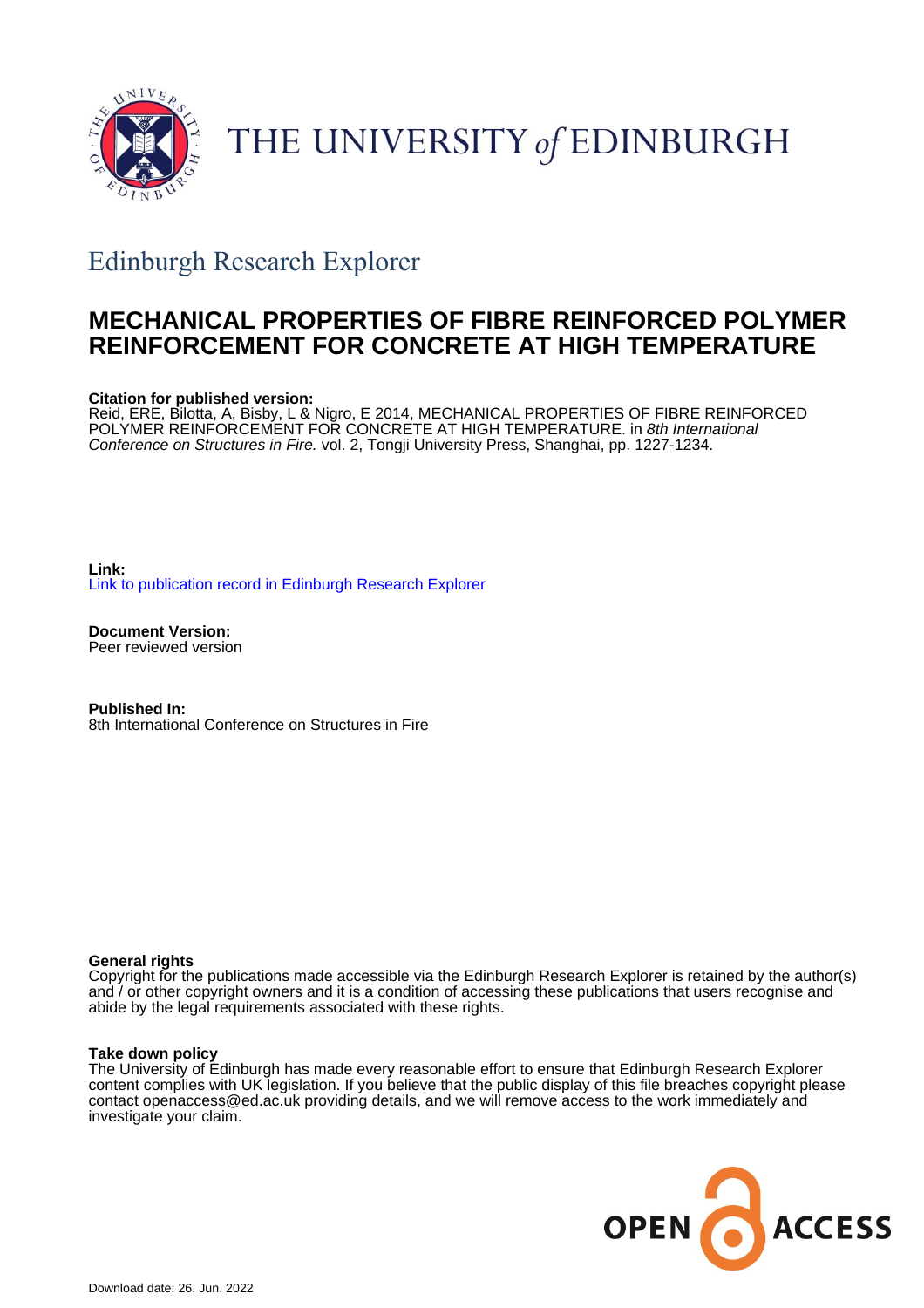

# THE UNIVERSITY of EDINBURGH

## Edinburgh Research Explorer

### **MECHANICAL PROPERTIES OF FIBRE REINFORCED POLYMER REINFORCEMENT FOR CONCRETE AT HIGH TEMPERATURE**

#### **Citation for published version:**

Reid, ERE, Bilotta, A, Bisby, L & Nigro, E 2014, MECHANICAL PROPERTIES OF FIBRE REINFORCED POLYMER REINFORCEMENT FOR CONCRETE AT HIGH TEMPERATURE. in 8th International Conference on Structures in Fire. vol. 2, Tongji University Press, Shanghai, pp. 1227-1234.

**Link:** [Link to publication record in Edinburgh Research Explorer](https://www.research.ed.ac.uk/en/publications/2ec7e29f-5715-4dd9-ba6d-7375c057c39b)

**Document Version:** Peer reviewed version

**Published In:** 8th International Conference on Structures in Fire

#### **General rights**

Copyright for the publications made accessible via the Edinburgh Research Explorer is retained by the author(s) and / or other copyright owners and it is a condition of accessing these publications that users recognise and abide by the legal requirements associated with these rights.

#### **Take down policy**

The University of Edinburgh has made every reasonable effort to ensure that Edinburgh Research Explorer content complies with UK legislation. If you believe that the public display of this file breaches copyright please contact openaccess@ed.ac.uk providing details, and we will remove access to the work immediately and investigate your claim.

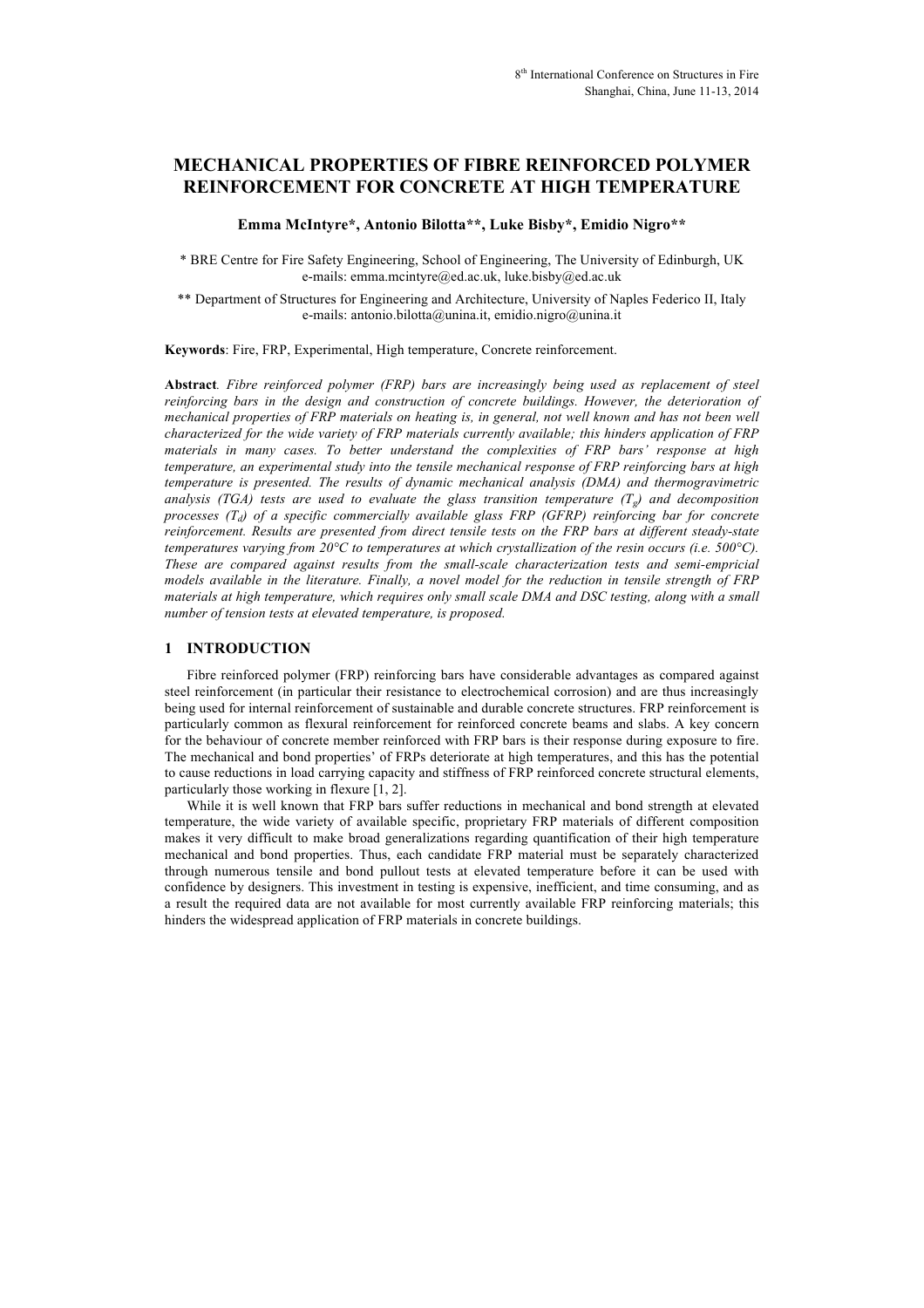#### **MECHANICAL PROPERTIES OF FIBRE REINFORCED POLYMER REINFORCEMENT FOR CONCRETE AT HIGH TEMPERATURE**

**Emma McIntyre\*, Antonio Bilotta\*\*, Luke Bisby\*, Emidio Nigro\*\***

\* BRE Centre for Fire Safety Engineering, School of Engineering, The University of Edinburgh, UK e-mails: emma.mcintyre@ed.ac.uk, luke.bisby@ed.ac.uk

\*\* Department of Structures for Engineering and Architecture, University of Naples Federico II, Italy e-mails: antonio.bilotta@unina.it, emidio.nigro@unina.it

**Keywords**: Fire, FRP, Experimental, High temperature, Concrete reinforcement.

**Abstract***. Fibre reinforced polymer (FRP) bars are increasingly being used as replacement of steel reinforcing bars in the design and construction of concrete buildings. However, the deterioration of mechanical properties of FRP materials on heating is, in general, not well known and has not been well characterized for the wide variety of FRP materials currently available; this hinders application of FRP materials in many cases. To better understand the complexities of FRP bars' response at high temperature, an experimental study into the tensile mechanical response of FRP reinforcing bars at high temperature is presented. The results of dynamic mechanical analysis (DMA) and thermogravimetric analysis (TGA) tests are used to evaluate the glass transition temperature (Tg) and decomposition processes (Td) of a specific commercially available glass FRP (GFRP) reinforcing bar for concrete reinforcement. Results are presented from direct tensile tests on the FRP bars at different steady-state temperatures varying from 20°C to temperatures at which crystallization of the resin occurs (i.e. 500°C). These are compared against results from the small-scale characterization tests and semi-empricial models available in the literature. Finally, a novel model for the reduction in tensile strength of FRP materials at high temperature, which requires only small scale DMA and DSC testing, along with a small number of tension tests at elevated temperature, is proposed.*

#### **1 INTRODUCTION**

Fibre reinforced polymer (FRP) reinforcing bars have considerable advantages as compared against steel reinforcement (in particular their resistance to electrochemical corrosion) and are thus increasingly being used for internal reinforcement of sustainable and durable concrete structures. FRP reinforcement is particularly common as flexural reinforcement for reinforced concrete beams and slabs. A key concern for the behaviour of concrete member reinforced with FRP bars is their response during exposure to fire. The mechanical and bond properties' of FRPs deteriorate at high temperatures, and this has the potential to cause reductions in load carrying capacity and stiffness of FRP reinforced concrete structural elements, particularly those working in flexure [1, 2].

While it is well known that FRP bars suffer reductions in mechanical and bond strength at elevated temperature, the wide variety of available specific, proprietary FRP materials of different composition makes it very difficult to make broad generalizations regarding quantification of their high temperature mechanical and bond properties. Thus, each candidate FRP material must be separately characterized through numerous tensile and bond pullout tests at elevated temperature before it can be used with confidence by designers. This investment in testing is expensive, inefficient, and time consuming, and as a result the required data are not available for most currently available FRP reinforcing materials; this hinders the widespread application of FRP materials in concrete buildings.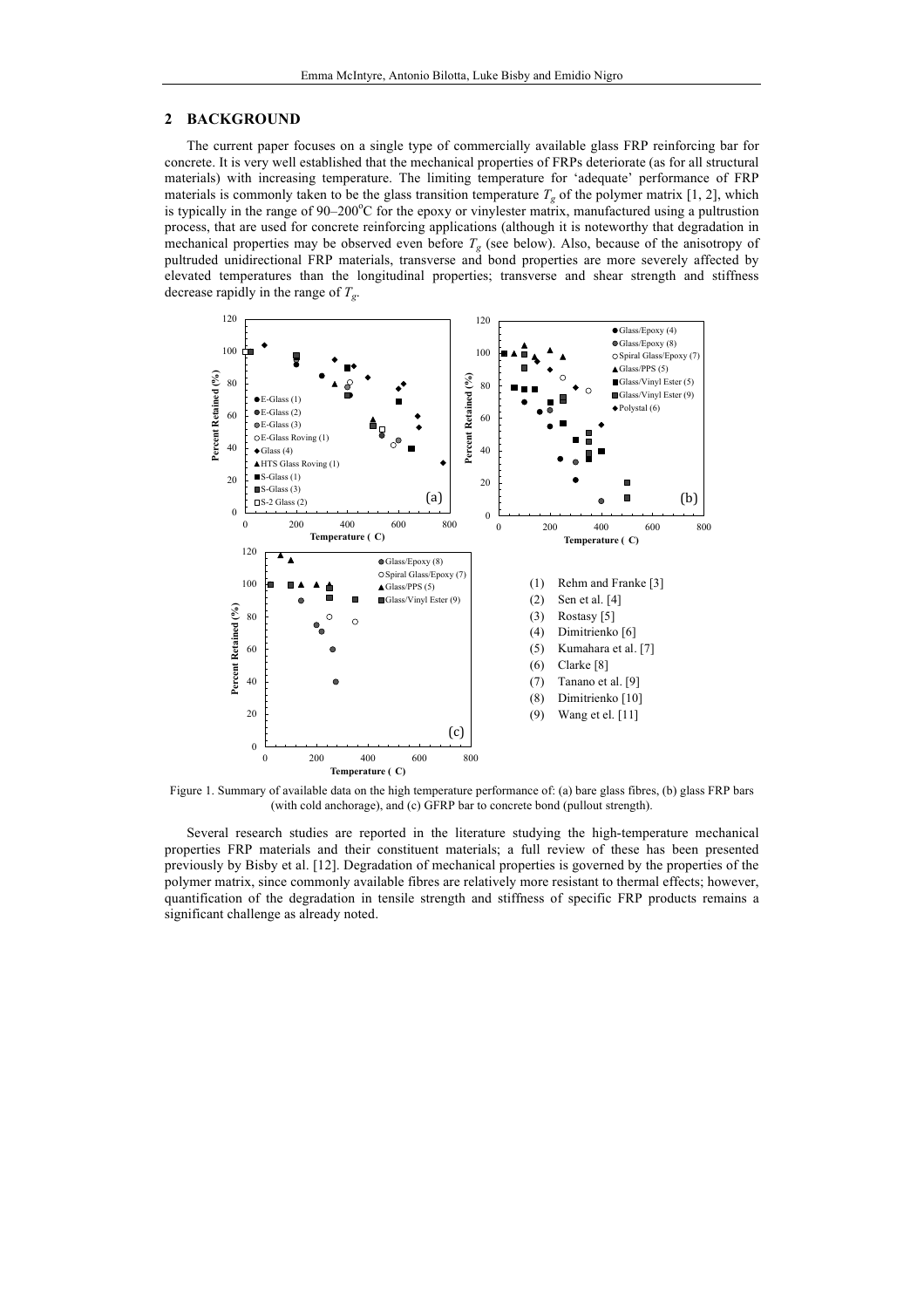#### **2 BACKGROUND**

The current paper focuses on a single type of commercially available glass FRP reinforcing bar for concrete. It is very well established that the mechanical properties of FRPs deteriorate (as for all structural materials) with increasing temperature. The limiting temperature for 'adequate' performance of FRP materials is commonly taken to be the glass transition temperature  $T_g$  of the polymer matrix [1, 2], which is typically in the range of 90–200°C for the epoxy or vinylester matrix, manufactured using a pultrustion process, that are used for concrete reinforcing applications (although it is noteworthy that degradation in mechanical properties may be observed even before *Tg* (see below). Also, because of the anisotropy of pultruded unidirectional FRP materials, transverse and bond properties are more severely affected by elevated temperatures than the longitudinal properties; transverse and shear strength and stiffness decrease rapidly in the range of *Tg*.



Figure 1. Summary of available data on the high temperature performance of: (a) bare glass fibres, (b) glass FRP bars (with cold anchorage), and (c) GFRP bar to concrete bond (pullout strength).

Several research studies are reported in the literature studying the high-temperature mechanical properties FRP materials and their constituent materials; a full review of these has been presented previously by Bisby et al. [12]. Degradation of mechanical properties is governed by the properties of the polymer matrix, since commonly available fibres are relatively more resistant to thermal effects; however, quantification of the degradation in tensile strength and stiffness of specific FRP products remains a significant challenge as already noted.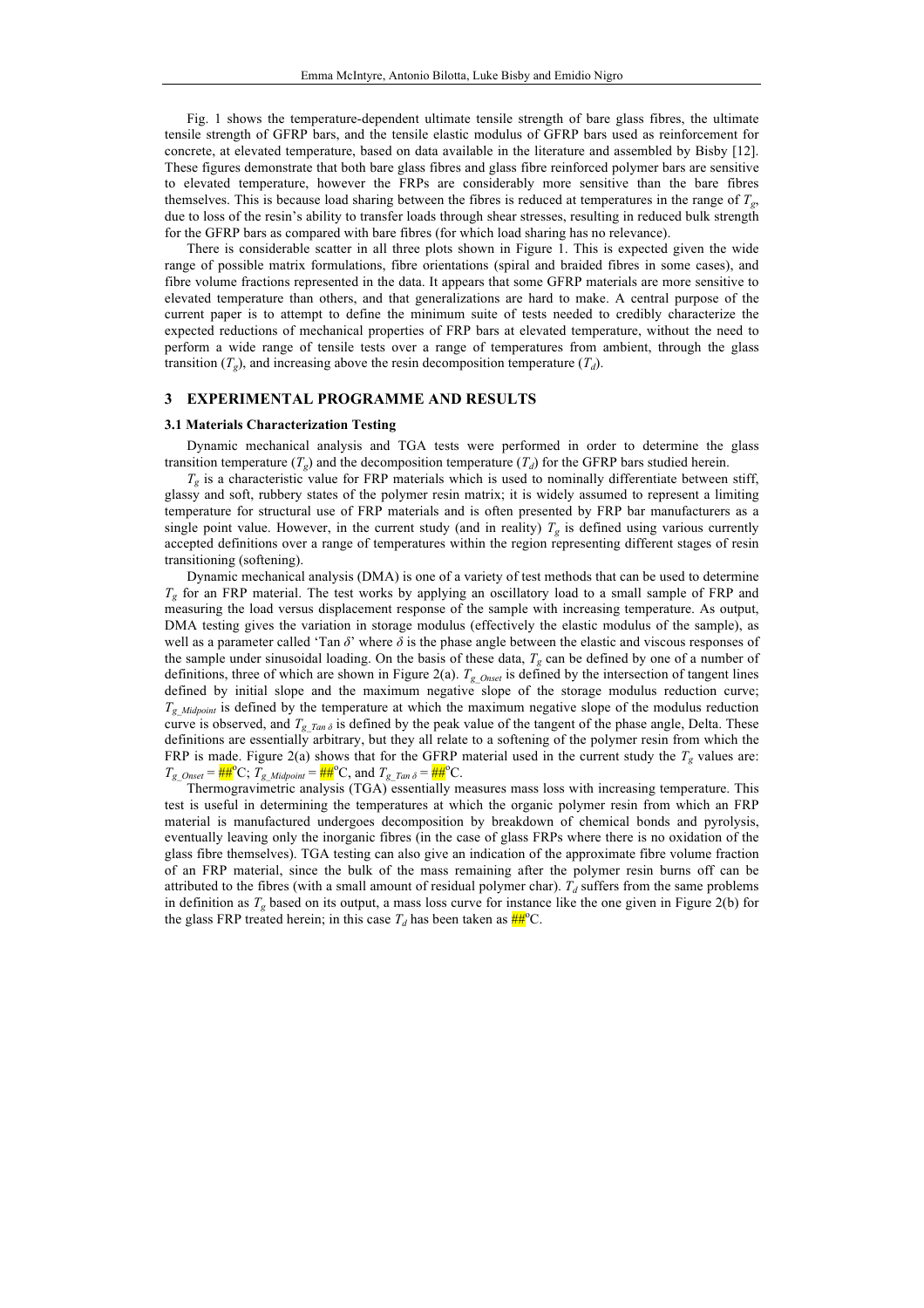Fig. 1 shows the temperature-dependent ultimate tensile strength of bare glass fibres, the ultimate tensile strength of GFRP bars, and the tensile elastic modulus of GFRP bars used as reinforcement for concrete, at elevated temperature, based on data available in the literature and assembled by Bisby [12]. These figures demonstrate that both bare glass fibres and glass fibre reinforced polymer bars are sensitive to elevated temperature, however the FRPs are considerably more sensitive than the bare fibres themselves. This is because load sharing between the fibres is reduced at temperatures in the range of  $T_g$ , due to loss of the resin's ability to transfer loads through shear stresses, resulting in reduced bulk strength for the GFRP bars as compared with bare fibres (for which load sharing has no relevance).

There is considerable scatter in all three plots shown in Figure 1. This is expected given the wide range of possible matrix formulations, fibre orientations (spiral and braided fibres in some cases), and fibre volume fractions represented in the data. It appears that some GFRP materials are more sensitive to elevated temperature than others, and that generalizations are hard to make. A central purpose of the current paper is to attempt to define the minimum suite of tests needed to credibly characterize the expected reductions of mechanical properties of FRP bars at elevated temperature, without the need to perform a wide range of tensile tests over a range of temperatures from ambient, through the glass transition  $(T_g)$ , and increasing above the resin decomposition temperature  $(T_d)$ .

#### **3 EXPERIMENTAL PROGRAMME AND RESULTS**

#### **3.1 Materials Characterization Testing**

Dynamic mechanical analysis and TGA tests were performed in order to determine the glass transition temperature  $(T_g)$  and the decomposition temperature  $(T_d)$  for the GFRP bars studied herein.

 $T_g$  is a characteristic value for FRP materials which is used to nominally differentiate between stiff, glassy and soft, rubbery states of the polymer resin matrix; it is widely assumed to represent a limiting temperature for structural use of FRP materials and is often presented by FRP bar manufacturers as a single point value. However, in the current study (and in reality)  $T_g$  is defined using various currently accepted definitions over a range of temperatures within the region representing different stages of resin transitioning (softening).

Dynamic mechanical analysis (DMA) is one of a variety of test methods that can be used to determine *Tg* for an FRP material. The test works by applying an oscillatory load to a small sample of FRP and measuring the load versus displacement response of the sample with increasing temperature. As output, DMA testing gives the variation in storage modulus (effectively the elastic modulus of the sample), as well as a parameter called 'Tan *δ*' where *δ* is the phase angle between the elastic and viscous responses of the sample under sinusoidal loading. On the basis of these data,  $T_g$  can be defined by one of a number of definitions, three of which are shown in Figure 2(a). *Tg\_Onset* is defined by the intersection of tangent lines defined by initial slope and the maximum negative slope of the storage modulus reduction curve; *Tg\_Midpoint* is defined by the temperature at which the maximum negative slope of the modulus reduction curve is observed, and  $T_{g\_Tan \delta}$  is defined by the peak value of the tangent of the phase angle, Delta. These definitions are essentially arbitrary, but they all relate to a softening of the polymer resin from which the FRP is made. Figure 2(a) shows that for the GFRP material used in the current study the  $T_g$  values are:  $T_g$  <sub>Onset</sub> =  $\frac{\mu}{\mu} H^{\circ}C$ ;  $T_g$  <sub>Midpoint</sub> =  $\frac{\mu}{\mu} H^{\circ}C$ , and  $T_g$   $T_{an \delta} = \frac{\mu}{\mu} H^{\circ}C$ .

Thermogravimetric analysis (TGA) essentially measures mass loss with increasing temperature. This test is useful in determining the temperatures at which the organic polymer resin from which an FRP material is manufactured undergoes decomposition by breakdown of chemical bonds and pyrolysis, eventually leaving only the inorganic fibres (in the case of glass FRPs where there is no oxidation of the glass fibre themselves). TGA testing can also give an indication of the approximate fibre volume fraction of an FRP material, since the bulk of the mass remaining after the polymer resin burns off can be attributed to the fibres (with a small amount of residual polymer char).  $T_d$  suffers from the same problems in definition as  $T_g$  based on its output, a mass loss curve for instance like the one given in Figure 2(b) for the glass FRP treated herein; in this case  $T_d$  has been taken as  $\frac{H}{H}^{\circ}C$ .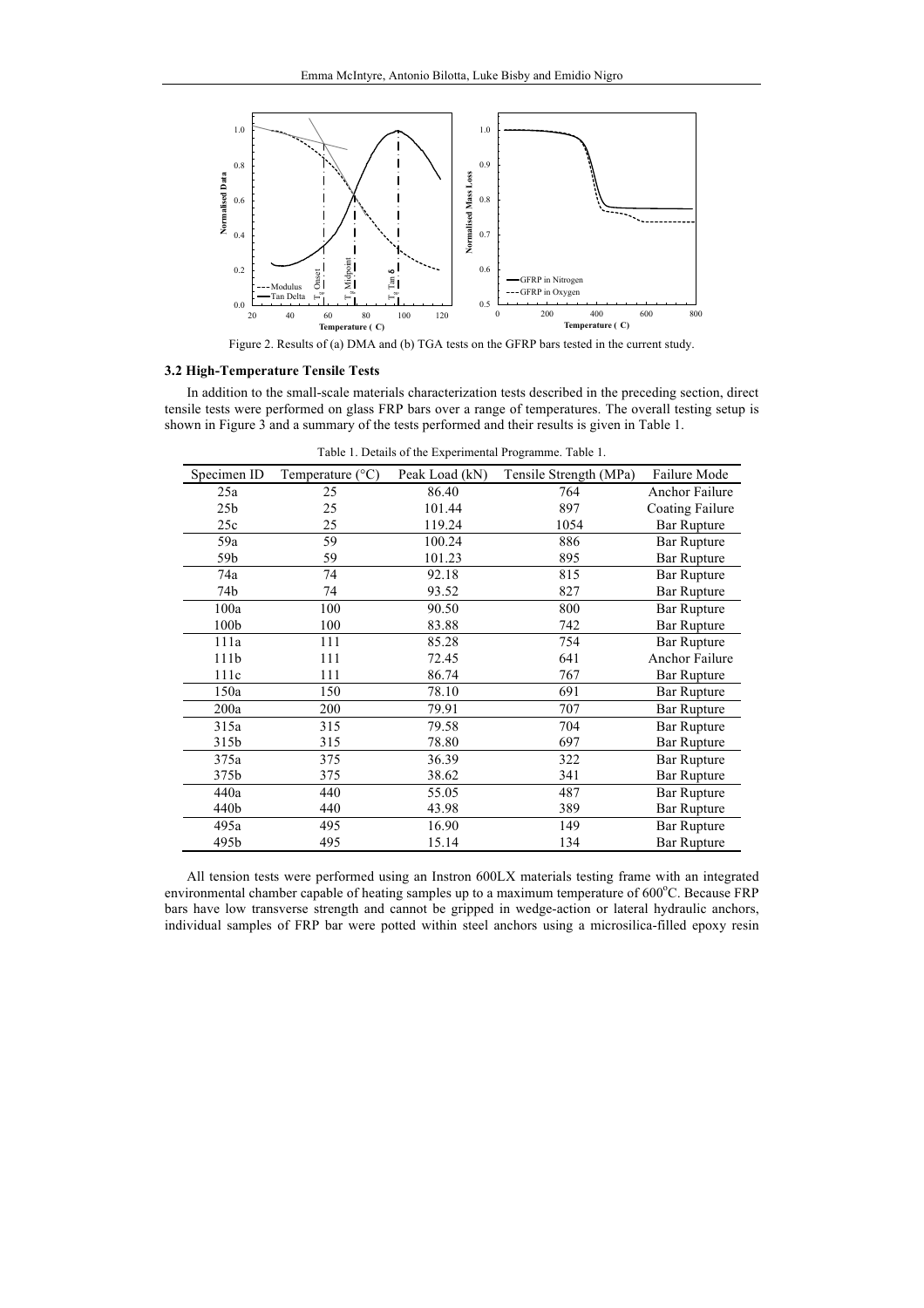

Figure 2. Results of (a) DMA and (b) TGA tests on the GFRP bars tested in the current study.

#### **3.2 High-Temperature Tensile Tests**

In addition to the small-scale materials characterization tests described in the preceding section, direct tensile tests were performed on glass FRP bars over a range of temperatures. The overall testing setup is shown in Figure 3 and a summary of the tests performed and their results is given in Table 1.

| Specimen ID | Temperature $(^{\circ}C)$ | Peak Load (kN) | Tensile Strength (MPa) | Failure Mode          |
|-------------|---------------------------|----------------|------------------------|-----------------------|
| 25a         | 25                        | 86.40          | 764                    | <b>Anchor Failure</b> |
| 25b         | 25                        | 101.44         | 897                    | Coating Failure       |
| 25c         | 25                        | 119.24         | 1054                   | <b>Bar Rupture</b>    |
| 59a         | 59                        | 100.24         | 886                    | <b>Bar Rupture</b>    |
| 59b         | 59                        | 101.23         | 895                    | <b>Bar Rupture</b>    |
| 74a         | 74                        | 92.18          | 815                    | <b>Bar Rupture</b>    |
| 74b         | 74                        | 93.52          | 827                    | <b>Bar Rupture</b>    |
| 100a        | 100                       | 90.50          | 800                    | <b>Bar Rupture</b>    |
| 100b        | 100                       | 83.88          | 742                    | <b>Bar Rupture</b>    |
| 111a        | 111                       | 85.28          | 754                    | <b>Bar Rupture</b>    |
| 111b        | 111                       | 72.45          | 641                    | Anchor Failure        |
| 111c        | 111                       | 86.74          | 767                    | <b>Bar Rupture</b>    |
| 150a        | 150                       | 78.10          | 691                    | <b>Bar Rupture</b>    |
| 200a        | 200                       | 79.91          | 707                    | <b>Bar Rupture</b>    |
| 315a        | 315                       | 79.58          | 704                    | <b>Bar Rupture</b>    |
| 315b        | 315                       | 78.80          | 697                    | <b>Bar Rupture</b>    |
| 375a        | 375                       | 36.39          | 322                    | <b>Bar Rupture</b>    |
| 375b        | 375                       | 38.62          | 341                    | <b>Bar Rupture</b>    |
| 440a        | 440                       | 55.05          | 487                    | <b>Bar Rupture</b>    |
| 440b        | 440                       | 43.98          | 389                    | <b>Bar Rupture</b>    |
| 495a        | 495                       | 16.90          | 149                    | <b>Bar Rupture</b>    |
| 495b        | 495                       | 15.14          | 134                    | <b>Bar Rupture</b>    |
|             |                           |                |                        |                       |

Table 1. Details of the Experimental Programme. Table 1.

All tension tests were performed using an Instron 600LX materials testing frame with an integrated environmental chamber capable of heating samples up to a maximum temperature of 600°C. Because FRP bars have low transverse strength and cannot be gripped in wedge-action or lateral hydraulic anchors, individual samples of FRP bar were potted within steel anchors using a microsilica-filled epoxy resin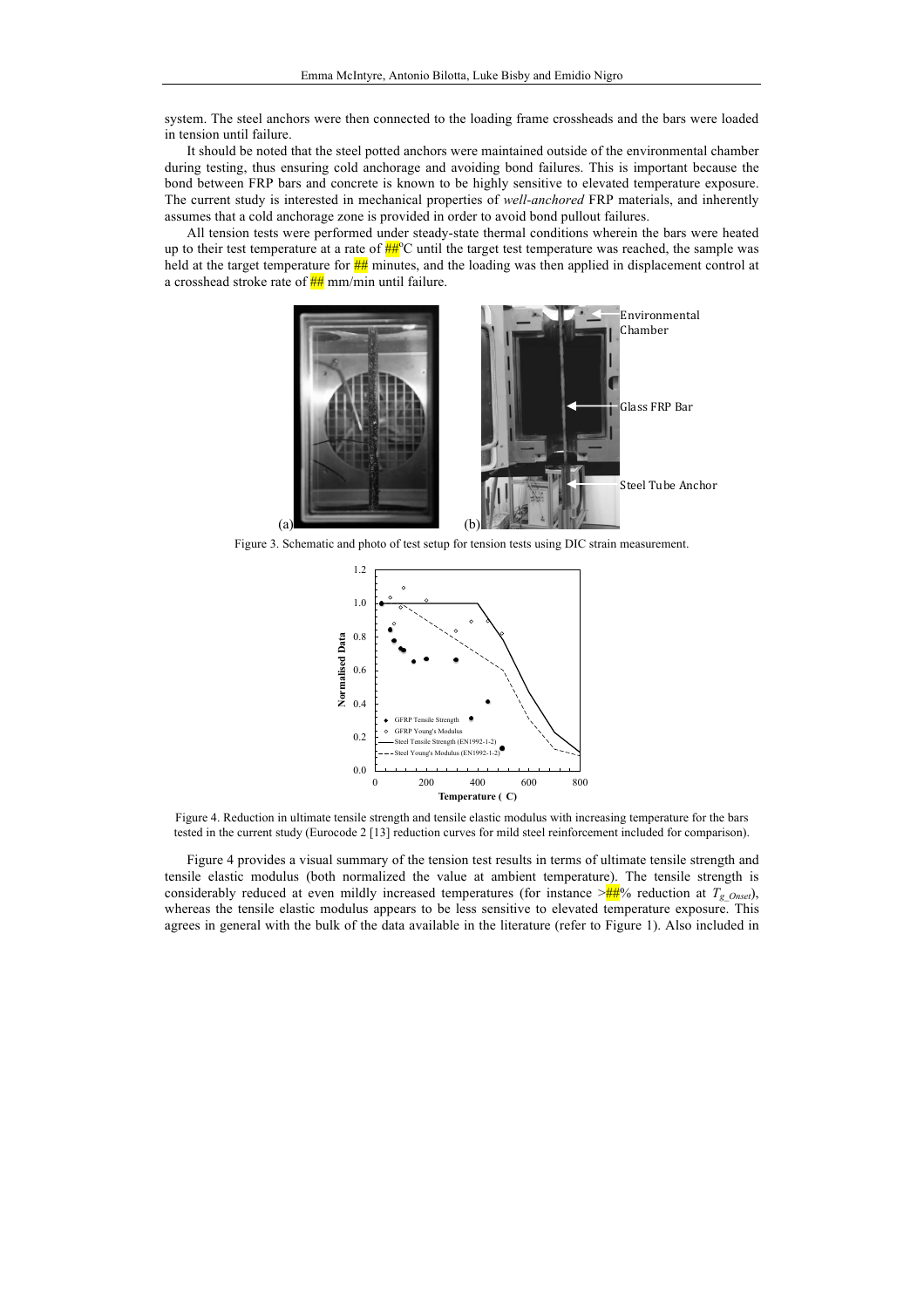system. The steel anchors were then connected to the loading frame crossheads and the bars were loaded in tension until failure.

It should be noted that the steel potted anchors were maintained outside of the environmental chamber during testing, thus ensuring cold anchorage and avoiding bond failures. This is important because the bond between FRP bars and concrete is known to be highly sensitive to elevated temperature exposure. The current study is interested in mechanical properties of *well-anchored* FRP materials, and inherently assumes that a cold anchorage zone is provided in order to avoid bond pullout failures.

All tension tests were performed under steady-state thermal conditions wherein the bars were heated up to their test temperature at a rate of  $\frac{H}{H}$ °C until the target test temperature was reached, the sample was held at the target temperature for  $\frac{H H}{H}$  minutes, and the loading was then applied in displacement control at a crosshead stroke rate of  $\frac{H}{H}$  mm/min until failure.



Figure 3. Schematic and photo of test setup for tension tests using DIC strain measurement.



Figure 4. Reduction in ultimate tensile strength and tensile elastic modulus with increasing temperature for the bars tested in the current study (Eurocode 2 [13] reduction curves for mild steel reinforcement included for comparison).

Figure 4 provides a visual summary of the tension test results in terms of ultimate tensile strength and tensile elastic modulus (both normalized the value at ambient temperature). The tensile strength is considerably reduced at even mildly increased temperatures (for instance  $\geq \frac{H}{H}$ % reduction at  $T_g$ <sub>Onset</sub>), whereas the tensile elastic modulus appears to be less sensitive to elevated temperature exposure. This agrees in general with the bulk of the data available in the literature (refer to Figure 1). Also included in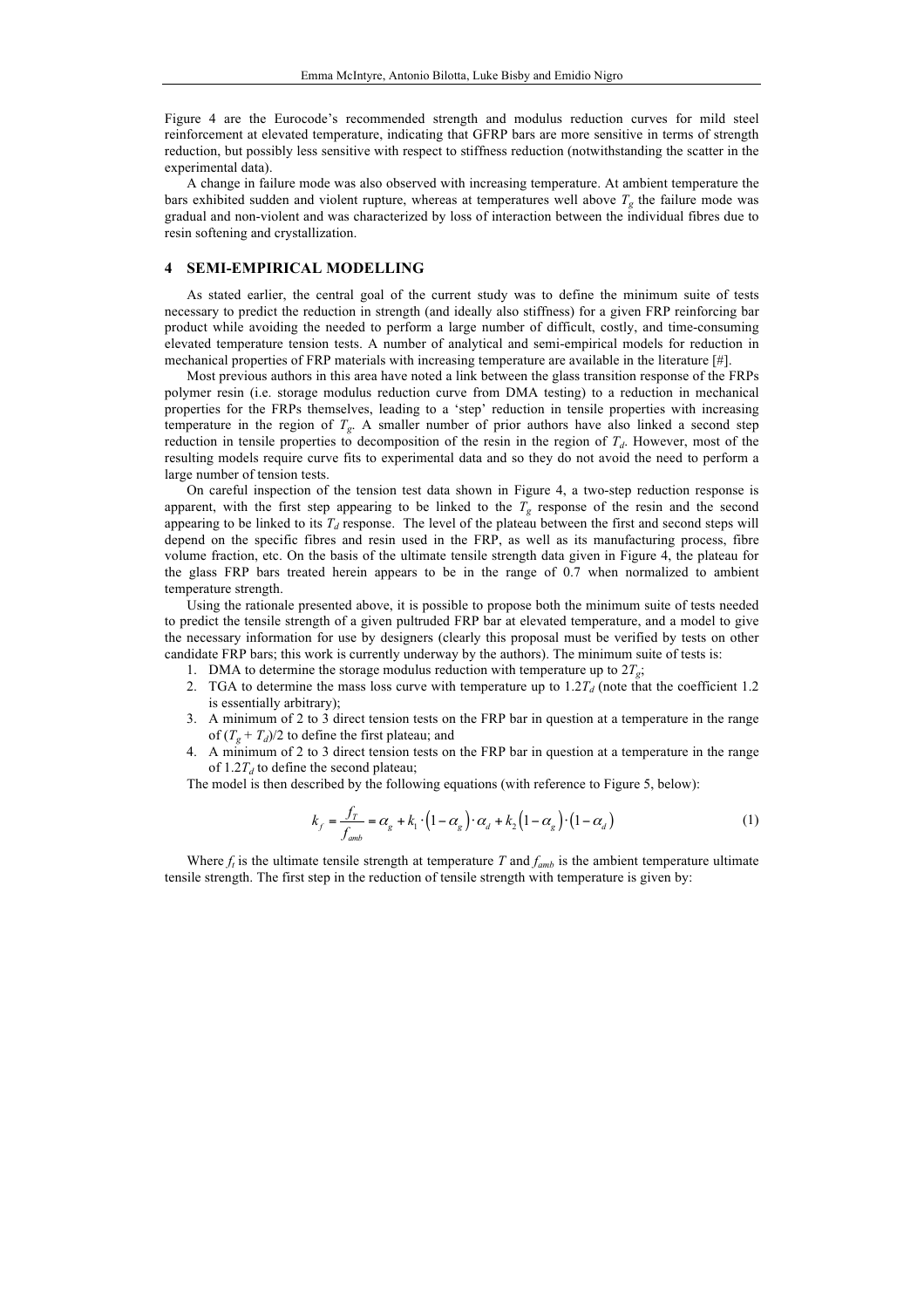Figure 4 are the Eurocode's recommended strength and modulus reduction curves for mild steel reinforcement at elevated temperature, indicating that GFRP bars are more sensitive in terms of strength reduction, but possibly less sensitive with respect to stiffness reduction (notwithstanding the scatter in the experimental data).

A change in failure mode was also observed with increasing temperature. At ambient temperature the bars exhibited sudden and violent rupture, whereas at temperatures well above  $T_g$  the failure mode was gradual and non-violent and was characterized by loss of interaction between the individual fibres due to resin softening and crystallization.

#### **4 SEMI-EMPIRICAL MODELLING**

As stated earlier, the central goal of the current study was to define the minimum suite of tests necessary to predict the reduction in strength (and ideally also stiffness) for a given FRP reinforcing bar product while avoiding the needed to perform a large number of difficult, costly, and time-consuming elevated temperature tension tests. A number of analytical and semi-empirical models for reduction in mechanical properties of FRP materials with increasing temperature are available in the literature [#].

Most previous authors in this area have noted a link between the glass transition response of the FRPs polymer resin (i.e. storage modulus reduction curve from DMA testing) to a reduction in mechanical properties for the FRPs themselves, leading to a 'step' reduction in tensile properties with increasing temperature in the region of  $T_g$ . A smaller number of prior authors have also linked a second step reduction in tensile properties to decomposition of the resin in the region of  $T<sub>d</sub>$ . However, most of the resulting models require curve fits to experimental data and so they do not avoid the need to perform a large number of tension tests.

On careful inspection of the tension test data shown in Figure 4, a two-step reduction response is apparent, with the first step appearing to be linked to the  $T_g$  response of the resin and the second appearing to be linked to its  $T<sub>d</sub>$  response. The level of the plateau between the first and second steps will depend on the specific fibres and resin used in the FRP, as well as its manufacturing process, fibre volume fraction, etc. On the basis of the ultimate tensile strength data given in Figure 4, the plateau for the glass FRP bars treated herein appears to be in the range of 0.7 when normalized to ambient temperature strength.

Using the rationale presented above, it is possible to propose both the minimum suite of tests needed to predict the tensile strength of a given pultruded FRP bar at elevated temperature, and a model to give the necessary information for use by designers (clearly this proposal must be verified by tests on other candidate FRP bars; this work is currently underway by the authors). The minimum suite of tests is:

1. DMA to determine the storage modulus reduction with temperature up to  $2T_g$ ;

- 2. TGA to determine the mass loss curve with temperature up to  $1.2T_d$  (note that the coefficient 1.2 is essentially arbitrary);
- 3. A minimum of 2 to 3 direct tension tests on the FRP bar in question at a temperature in the range of  $(T_g + T_d)/2$  to define the first plateau; and
- 4. A minimum of 2 to 3 direct tension tests on the FRP bar in question at a temperature in the range of  $1.2T<sub>d</sub>$  to define the second plateau;

The model is then described by the following equations (with reference to Figure 5, below):

$$
k_f = \frac{f_T}{f_{amb}} = \alpha_g + k_1 \cdot (1 - \alpha_g) \cdot \alpha_d + k_2 (1 - \alpha_g) \cdot (1 - \alpha_d)
$$
 (1)

Where  $f_t$  is the ultimate tensile strength at temperature *T* and  $f_{amb}$  is the ambient temperature ultimate tensile strength. The first step in the reduction of tensile strength with temperature is given by: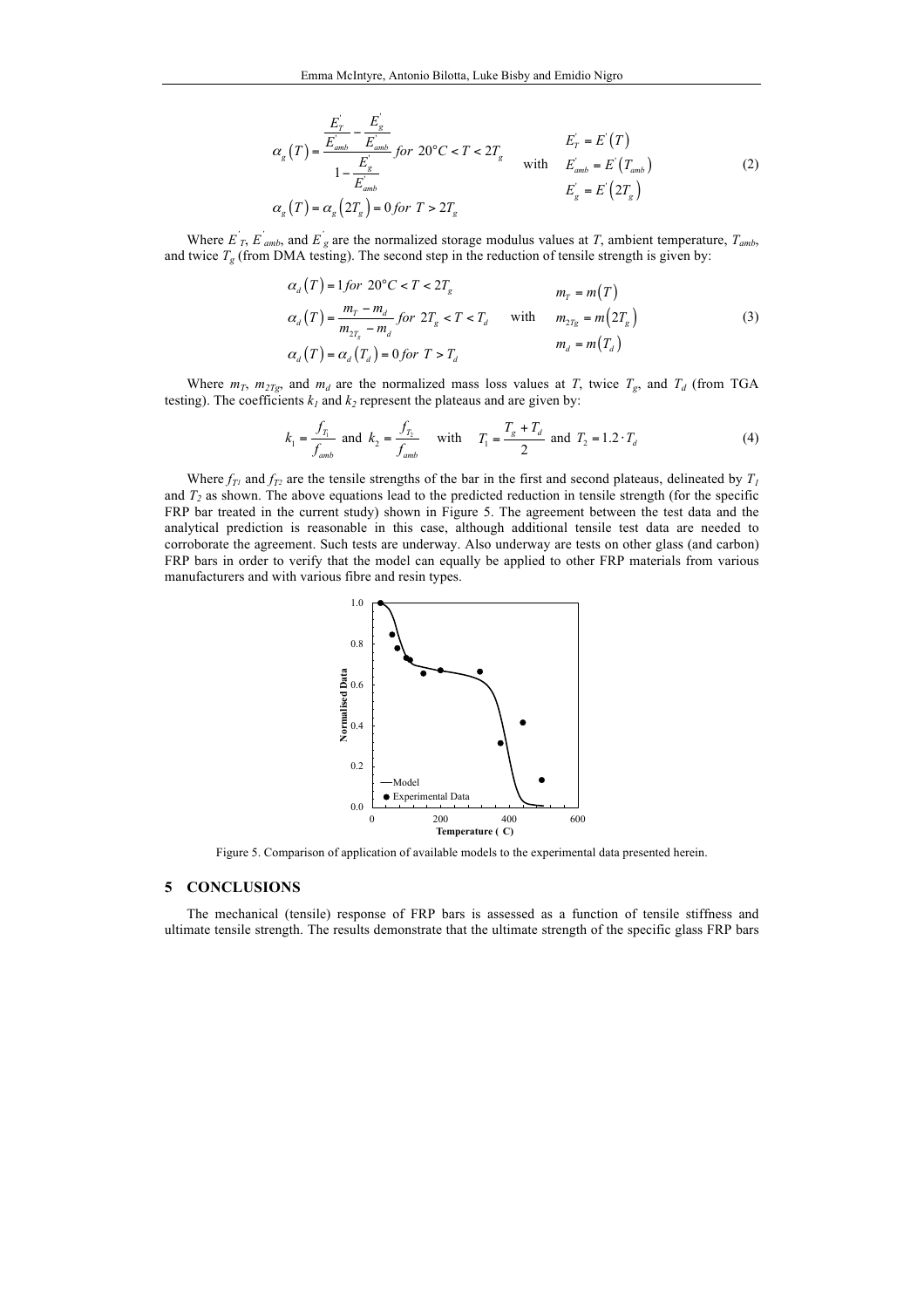$$
\alpha_{g}(T) = \frac{\frac{E_{T}^{'} - E_{g}^{'} }{E_{amb}^{'} - E_{amb}^{'}}}{1 - \frac{E_{g}^{'} }{E_{amb}^{'}}} \text{ for } 20^{\circ}C < T < 2T_{g} \qquad \text{with} \qquad \frac{E_{T}^{'} = E^{'}(T)}{E_{amb}^{'} = E^{'}(T_{amb})}
$$
\n
$$
\alpha_{g}(T) = \alpha_{g}(2T_{g}) = 0 \text{ for } T > 2T_{g} \qquad \qquad E_{g}^{'} = E^{'}(2T_{g}) \qquad (2)
$$

Where  $E'_{T}$ ,  $E'_{amb}$ , and  $E'_{g}$  are the normalized storage modulus values at *T*, ambient temperature,  $T_{amb}$ , and twice  $T_g$  (from DMA testing). The second step in the reduction of tensile strength is given by:

$$
\alpha_d(T) = 1 \text{ for } 20^{\circ}C < T < 2T_g \qquad m_T = m(T)
$$
\n
$$
\alpha_d(T) = \frac{m_T - m_d}{m_{2T_s} - m_d} \text{ for } 2T_g < T < T_d \qquad \text{with} \qquad m_{2T_g} = m(2T_g)
$$
\n
$$
\alpha_d(T) = \alpha_d(T_d) = 0 \text{ for } T > T_d \qquad m_d = m(T_d)
$$
\n
$$
(3)
$$

Where  $m_T$ ,  $m_{2Tg}$ , and  $m_d$  are the normalized mass loss values at *T*, twice  $T_g$ , and  $T_d$  (from TGA testing). The coefficients  $k_1$  and  $k_2$  represent the plateaus and are given by:

$$
k_1 = \frac{f_{T_1}}{f_{amb}} \text{ and } k_2 = \frac{f_{T_2}}{f_{amb}} \text{ with } T_1 = \frac{T_s + T_d}{2} \text{ and } T_2 = 1.2 \cdot T_d \tag{4}
$$

Where  $f_T$ <sub>1</sub> and  $f_T$ <sub>2</sub> are the tensile strengths of the bar in the first and second plateaus, delineated by  $T_I$ and *T2* as shown. The above equations lead to the predicted reduction in tensile strength (for the specific FRP bar treated in the current study) shown in Figure 5. The agreement between the test data and the analytical prediction is reasonable in this case, although additional tensile test data are needed to corroborate the agreement. Such tests are underway. Also underway are tests on other glass (and carbon) FRP bars in order to verify that the model can equally be applied to other FRP materials from various manufacturers and with various fibre and resin types.



Figure 5. Comparison of application of available models to the experimental data presented herein.

#### **5 CONCLUSIONS**

The mechanical (tensile) response of FRP bars is assessed as a function of tensile stiffness and ultimate tensile strength. The results demonstrate that the ultimate strength of the specific glass FRP bars